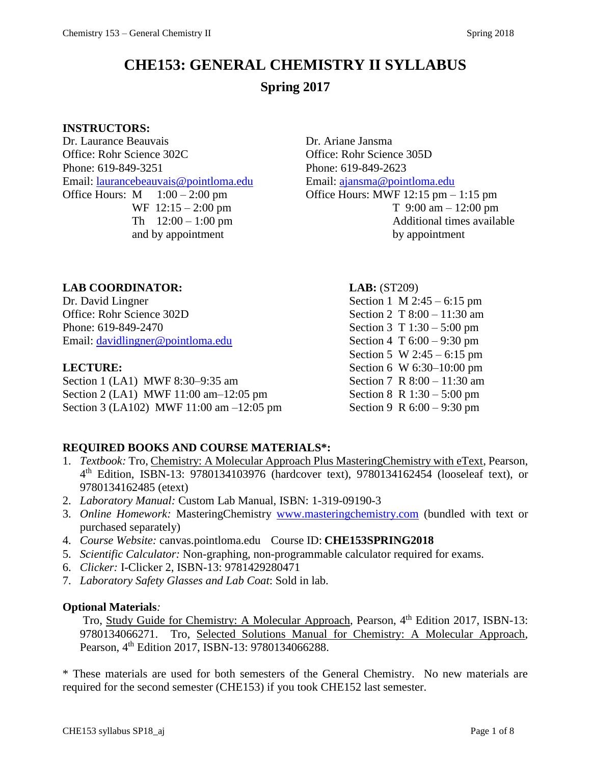# **CHE153: GENERAL CHEMISTRY II SYLLABUS Spring 2017**

#### **INSTRUCTORS:**

Dr. Laurance Beauvais Dr. Ariane Jansma Office: Rohr Science 302C Office: Rohr Science 305D Phone: 619-849-3251 Phone: 619-849-2623 Email: [laurancebeauvais@pointloma.edu](mailto:laurancebeauvais@pointloma.edu) Email: [ajansma@pointloma.edu](mailto:ajansma@pointloma.edu) Office Hours:  $M = 1:00 - 2:00$  pm  $\qquad \qquad$  Office Hours: MWF 12:15 pm – 1:15 pm

WF  $12:15 - 2:00$  pm T  $9:00$  am  $- 12:00$  pm Th  $12:00 - 1:00$  pm Additional times available and by appointment by appointment

### **LAB COORDINATOR: LAB:** (ST209)

Dr. David Lingner Section 1 M 2:45 – 6:15 pm Office: Rohr Science 302D Section 2 T 8:00 – 11:30 am Phone: 619-849-2470 Section 3 T 1:30 – 5:00 pm Email: [davidlingner@pointloma.edu](mailto:davidlingner@pointloma.edu) Section 4 T 6:00 – 9:30 pm

Section 1 (LA1) MWF 8:30–9:35 am Section 7 R 8:00 – 11:30 am Section 2 (LA1) MWF 11:00 am–12:05 pm Section 8 R 1:30 – 5:00 pm Section 3 (LA102) MWF 11:00 am –12:05 pm Section 9 R 6:00 – 9:30 pm

Section 5 W 2:45 – 6:15 pm **LECTURE:** Section 6 W 6:30–10:00 pm

### **REQUIRED BOOKS AND COURSE MATERIALS\*:**

- 1. *Textbook:* Tro, Chemistry: A Molecular Approach Plus MasteringChemistry with eText, Pearson, 4 th Edition, ISBN-13: 9780134103976 (hardcover text), 9780134162454 (looseleaf text), or 9780134162485 (etext)
- 2. *Laboratory Manual:* Custom Lab Manual, ISBN: 1-319-09190-3
- 3. *Online Homework:* MasteringChemistry [www.masteringchemistry.com](http://www.masteringchemistry.com/) (bundled with text or purchased separately)
- 4. *Course Website:* canvas.pointloma.edu Course ID: **CHE153SPRING2018**
- 5. *Scientific Calculator:* Non-graphing, non-programmable calculator required for exams.
- 6. *Clicker:* I-Clicker 2, ISBN-13: 9781429280471
- 7. *Laboratory Safety Glasses and Lab Coat*: Sold in lab.

#### **Optional Materials***:*

Tro, Study Guide for Chemistry: A Molecular Approach, Pearson, 4<sup>th</sup> Edition 2017, ISBN-13: 9780134066271. Tro, Selected Solutions Manual for Chemistry: A Molecular Approach, Pearson, 4<sup>th</sup> Edition 2017, ISBN-13: 9780134066288.

\* These materials are used for both semesters of the General Chemistry. No new materials are required for the second semester (CHE153) if you took CHE152 last semester.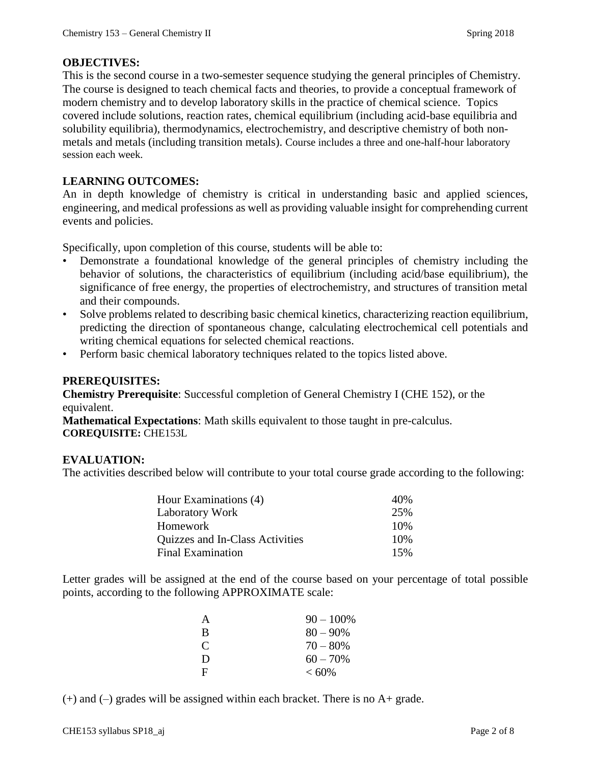### **OBJECTIVES:**

This is the second course in a two-semester sequence studying the general principles of Chemistry. The course is designed to teach chemical facts and theories, to provide a conceptual framework of modern chemistry and to develop laboratory skills in the practice of chemical science. Topics covered include solutions, reaction rates, chemical equilibrium (including acid-base equilibria and solubility equilibria), thermodynamics, electrochemistry, and descriptive chemistry of both nonmetals and metals (including transition metals). Course includes a three and one-half-hour laboratory session each week.

#### **LEARNING OUTCOMES:**

An in depth knowledge of chemistry is critical in understanding basic and applied sciences, engineering, and medical professions as well as providing valuable insight for comprehending current events and policies.

Specifically, upon completion of this course, students will be able to:

- Demonstrate a foundational knowledge of the general principles of chemistry including the behavior of solutions, the characteristics of equilibrium (including acid/base equilibrium), the significance of free energy, the properties of electrochemistry, and structures of transition metal and their compounds.
- Solve problems related to describing basic chemical kinetics, characterizing reaction equilibrium, predicting the direction of spontaneous change, calculating electrochemical cell potentials and writing chemical equations for selected chemical reactions.
- Perform basic chemical laboratory techniques related to the topics listed above.

#### **PREREQUISITES:**

**Chemistry Prerequisite**: Successful completion of General Chemistry I (CHE 152), or the equivalent.

**Mathematical Expectations**: Math skills equivalent to those taught in pre-calculus. **COREQUISITE:** CHE153L

#### **EVALUATION:**

The activities described below will contribute to your total course grade according to the following:

| Hour Examinations (4)           | 40% |
|---------------------------------|-----|
| Laboratory Work                 | 25% |
| Homework                        | 10% |
| Quizzes and In-Class Activities | 10% |
| <b>Final Examination</b>        | 15% |

Letter grades will be assigned at the end of the course based on your percentage of total possible points, according to the following APPROXIMATE scale:

| A            | $90 - 100\%$ |
|--------------|--------------|
| B            | $80 - 90\%$  |
| C            | $70 - 80%$   |
| D            | $60 - 70\%$  |
| $\mathbf{F}$ | $<60\%$      |

(+) and (–) grades will be assigned within each bracket. There is no A+ grade.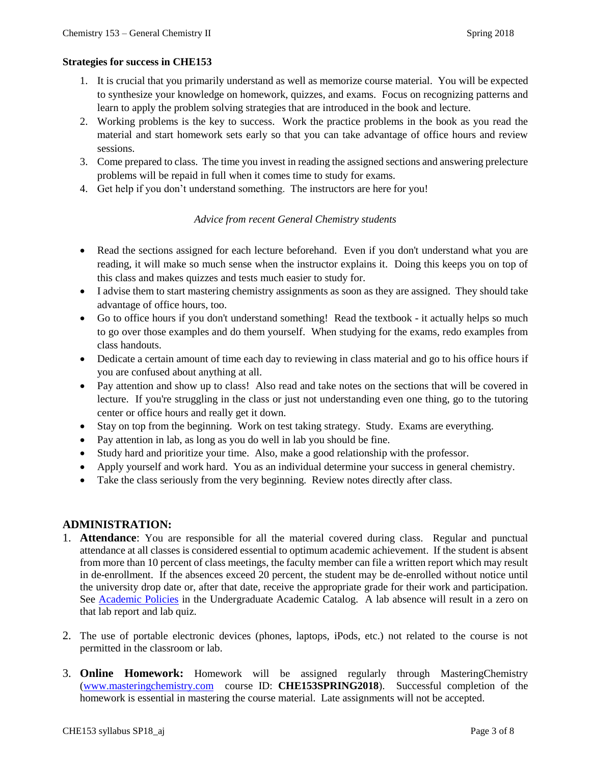#### **Strategies for success in CHE153**

- 1. It is crucial that you primarily understand as well as memorize course material. You will be expected to synthesize your knowledge on homework, quizzes, and exams. Focus on recognizing patterns and learn to apply the problem solving strategies that are introduced in the book and lecture.
- 2. Working problems is the key to success. Work the practice problems in the book as you read the material and start homework sets early so that you can take advantage of office hours and review sessions.
- 3. Come prepared to class. The time you invest in reading the assigned sections and answering prelecture problems will be repaid in full when it comes time to study for exams.
- 4. Get help if you don't understand something. The instructors are here for you!

#### *Advice from recent General Chemistry students*

- Read the sections assigned for each lecture beforehand. Even if you don't understand what you are reading, it will make so much sense when the instructor explains it. Doing this keeps you on top of this class and makes quizzes and tests much easier to study for.
- I advise them to start mastering chemistry assignments as soon as they are assigned. They should take advantage of office hours, too.
- Go to office hours if you don't understand something! Read the textbook it actually helps so much to go over those examples and do them yourself. When studying for the exams, redo examples from class handouts.
- Dedicate a certain amount of time each day to reviewing in class material and go to his office hours if you are confused about anything at all.
- Pay attention and show up to class! Also read and take notes on the sections that will be covered in lecture. If you're struggling in the class or just not understanding even one thing, go to the tutoring center or office hours and really get it down.
- Stay on top from the beginning. Work on test taking strategy. Study. Exams are everything.
- Pay attention in lab, as long as you do well in lab you should be fine.
- Study hard and prioritize your time. Also, make a good relationship with the professor.
- Apply yourself and work hard. You as an individual determine your success in general chemistry.
- Take the class seriously from the very beginning. Review notes directly after class.

#### **ADMINISTRATION:**

- 1. **Attendance**: You are responsible for all the material covered during class. Regular and punctual attendance at all classes is considered essential to optimum academic achievement. If the student is absent from more than 10 percent of class meetings, the faculty member can file a written report which may result in de-enrollment. If the absences exceed 20 percent, the student may be de-enrolled without notice until the university drop date or, after that date, receive the appropriate grade for their work and participation. See [Academic Policies](http://catalog.pointloma.edu/content.php?catoid=18&navoid=1278) in the Undergraduate Academic Catalog. A lab absence will result in a zero on that lab report and lab quiz.
- 2. The use of portable electronic devices (phones, laptops, iPods, etc.) not related to the course is not permitted in the classroom or lab.
- 3. **Online Homework:** Homework will be assigned regularly through MasteringChemistry [\(www.masteringchemistry.com](http://www.masteringchemistry.com/) course ID: **CHE153SPRING2018**). Successful completion of the homework is essential in mastering the course material. Late assignments will not be accepted.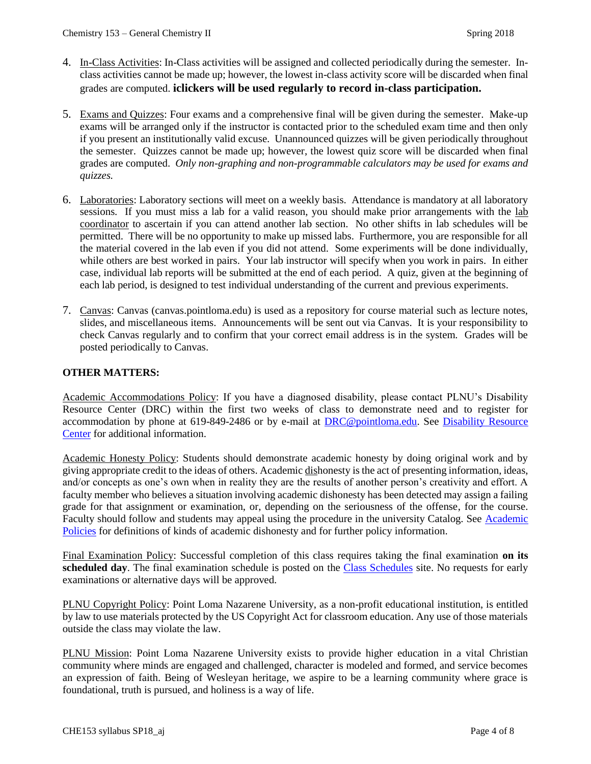- 4. In-Class Activities: In-Class activities will be assigned and collected periodically during the semester. Inclass activities cannot be made up; however, the lowest in-class activity score will be discarded when final grades are computed. **iclickers will be used regularly to record in-class participation.**
- 5. Exams and Quizzes: Four exams and a comprehensive final will be given during the semester. Make-up exams will be arranged only if the instructor is contacted prior to the scheduled exam time and then only if you present an institutionally valid excuse. Unannounced quizzes will be given periodically throughout the semester. Quizzes cannot be made up; however, the lowest quiz score will be discarded when final grades are computed. *Only non-graphing and non-programmable calculators may be used for exams and quizzes.*
- 6. Laboratories: Laboratory sections will meet on a weekly basis. Attendance is mandatory at all laboratory sessions. If you must miss a lab for a valid reason, you should make prior arrangements with the lab coordinator to ascertain if you can attend another lab section. No other shifts in lab schedules will be permitted. There will be no opportunity to make up missed labs. Furthermore, you are responsible for all the material covered in the lab even if you did not attend. Some experiments will be done individually, while others are best worked in pairs. Your lab instructor will specify when you work in pairs. In either case, individual lab reports will be submitted at the end of each period. A quiz, given at the beginning of each lab period, is designed to test individual understanding of the current and previous experiments.
- 7. Canvas: Canvas (canvas.pointloma.edu) is used as a repository for course material such as lecture notes, slides, and miscellaneous items. Announcements will be sent out via Canvas. It is your responsibility to check Canvas regularly and to confirm that your correct email address is in the system. Grades will be posted periodically to Canvas.

#### **OTHER MATTERS:**

Academic Accommodations Policy: If you have a diagnosed disability, please contact PLNU's Disability Resource Center (DRC) within the first two weeks of class to demonstrate need and to register for accommodation by phone at 619-849-2486 or by e-mail at **DRC@pointloma.edu**. See Disability Resource [Center](http://www.pointloma.edu/experience/offices/administrative-offices/academic-advising-office/disability-resource-center) for additional information.

Academic Honesty Policy: Students should demonstrate academic honesty by doing original work and by giving appropriate credit to the ideas of others. Academic dishonesty is the act of presenting information, ideas, and/or concepts as one's own when in reality they are the results of another person's creativity and effort. A faculty member who believes a situation involving academic dishonesty has been detected may assign a failing grade for that assignment or examination, or, depending on the seriousness of the offense, for the course. Faculty should follow and students may appeal using the procedure in the university Catalog. See Academic [Policies](http://catalog.pointloma.edu/content.php?catoid=18&navoid=1278) for definitions of kinds of academic dishonesty and for further policy information.

Final Examination Policy: Successful completion of this class requires taking the final examination **on its**  scheduled day. The final examination schedule is posted on the [Class Schedules](http://www.pointloma.edu/experience/academics/class-schedules) site. No requests for early examinations or alternative days will be approved.

PLNU Copyright Policy: Point Loma Nazarene University, as a non-profit educational institution, is entitled by law to use materials protected by the US Copyright Act for classroom education. Any use of those materials outside the class may violate the law.

PLNU Mission: Point Loma Nazarene University exists to provide higher education in a vital Christian community where minds are engaged and challenged, character is modeled and formed, and service becomes an expression of faith. Being of Wesleyan heritage, we aspire to be a learning community where grace is foundational, truth is pursued, and holiness is a way of life.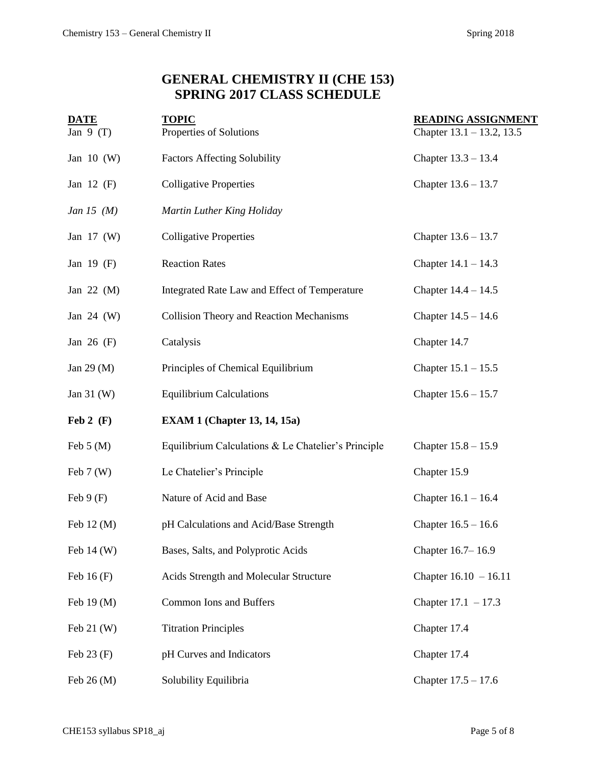# **GENERAL CHEMISTRY II (CHE 153) SPRING 2017 CLASS SCHEDULE**

| <b>DATE</b>                 | <b>TOPIC</b>                                        | <b>READING ASSIGNMENT</b>    |  |  |
|-----------------------------|-----------------------------------------------------|------------------------------|--|--|
| Jan $9(T)$                  | Properties of Solutions                             | Chapter $13.1 - 13.2$ , 13.5 |  |  |
| Jan $10$ (W)                | <b>Factors Affecting Solubility</b>                 | Chapter $13.3 - 13.4$        |  |  |
| Jan 12 $(F)$                | <b>Colligative Properties</b>                       | Chapter $13.6 - 13.7$        |  |  |
| Jan 15 $(M)$                | Martin Luther King Holiday                          |                              |  |  |
| Jan $17 \, (W)$             | <b>Colligative Properties</b>                       | Chapter $13.6 - 13.7$        |  |  |
| Jan $19$ (F)                | <b>Reaction Rates</b>                               | Chapter $14.1 - 14.3$        |  |  |
| Jan 22 $(M)$                | Integrated Rate Law and Effect of Temperature       | Chapter $14.4 - 14.5$        |  |  |
| Jan $24$ (W)                | Collision Theory and Reaction Mechanisms            | Chapter $14.5 - 14.6$        |  |  |
| Jan $26$ (F)                | Catalysis<br>Chapter 14.7                           |                              |  |  |
| Jan 29 $(M)$                | Principles of Chemical Equilibrium                  | Chapter $15.1 - 15.5$        |  |  |
| Jan $31 \, (W)$             | <b>Equilibrium Calculations</b>                     | Chapter $15.6 - 15.7$        |  |  |
| $\text{Feb } 2 \text{ (F)}$ | <b>EXAM 1 (Chapter 13, 14, 15a)</b>                 |                              |  |  |
| Feb $5(M)$                  | Equilibrium Calculations & Le Chatelier's Principle | Chapter $15.8 - 15.9$        |  |  |
| Feb $7(W)$                  | Le Chatelier's Principle                            | Chapter 15.9                 |  |  |
| Feb $9(F)$                  | Nature of Acid and Base                             | Chapter $16.1 - 16.4$        |  |  |
| Feb $12 \,(M)$              | pH Calculations and Acid/Base Strength              | Chapter $16.5 - 16.6$        |  |  |
| Feb $14 \, (W)$             | Bases, Salts, and Polyprotic Acids                  | Chapter 16.7-16.9            |  |  |
| Feb $16(F)$                 | Acids Strength and Molecular Structure              | Chapter $16.10 - 16.11$      |  |  |
| Feb 19 (M)                  | <b>Common Ions and Buffers</b>                      | Chapter $17.1 - 17.3$        |  |  |
| Feb $21$ (W)                | <b>Titration Principles</b><br>Chapter 17.4         |                              |  |  |
| Feb $23(F)$                 | pH Curves and Indicators                            | Chapter 17.4                 |  |  |
| Feb $26(M)$                 | Solubility Equilibria                               | Chapter $17.5 - 17.6$        |  |  |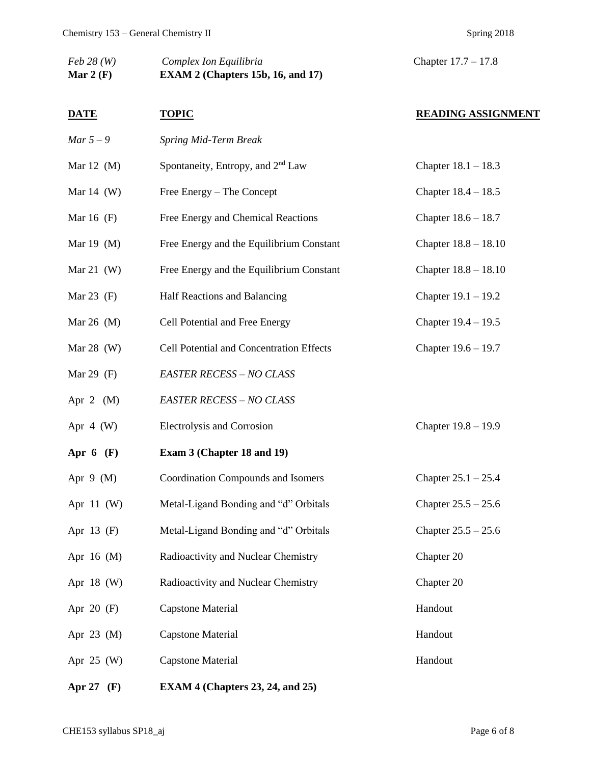| $Feb\ 28(W)$<br>Mar 2 $(F)$ | Complex Ion Equilibria<br>EXAM 2 (Chapters 15b, 16, and 17) | Chapter $17.7 - 17.8$     |  |
|-----------------------------|-------------------------------------------------------------|---------------------------|--|
| <b>DATE</b>                 | <b>TOPIC</b>                                                | <b>READING ASSIGNMENT</b> |  |
| Mar $5-9$                   | Spring Mid-Term Break                                       |                           |  |
| Mar $12 \, (M)$             | Spontaneity, Entropy, and 2 <sup>nd</sup> Law               | Chapter $18.1 - 18.3$     |  |
| Mar $14$ (W)                | Free Energy – The Concept                                   | Chapter $18.4 - 18.5$     |  |
| Mar $16$ (F)                | Free Energy and Chemical Reactions                          | Chapter $18.6 - 18.7$     |  |
| Mar $19 \ (M)$              | Free Energy and the Equilibrium Constant                    | Chapter $18.8 - 18.10$    |  |
| Mar $21$ (W)                | Free Energy and the Equilibrium Constant                    | Chapter $18.8 - 18.10$    |  |
| Mar $23$ (F)                | Half Reactions and Balancing                                | Chapter $19.1 - 19.2$     |  |
| Mar 26 $(M)$                | Cell Potential and Free Energy                              | Chapter $19.4 - 19.5$     |  |
| Mar $28$ (W)                | Cell Potential and Concentration Effects                    | Chapter $19.6 - 19.7$     |  |
| Mar 29 $(F)$                | <b>EASTER RECESS - NO CLASS</b>                             |                           |  |
| Apr 2 $(M)$                 | <b>EASTER RECESS - NO CLASS</b>                             |                           |  |
| Apr $4$ (W)                 | Electrolysis and Corrosion                                  | Chapter 19.8 - 19.9       |  |
| Apr $6$ (F)                 | Exam 3 (Chapter 18 and 19)                                  |                           |  |
| Apr $9$ (M)                 | <b>Coordination Compounds and Isomers</b>                   | Chapter $25.1 - 25.4$     |  |
| Apr $11$ (W)                | Metal-Ligand Bonding and "d" Orbitals                       | Chapter $25.5 - 25.6$     |  |
| Apr $13$ (F)                | Metal-Ligand Bonding and "d" Orbitals                       | Chapter $25.5 - 25.6$     |  |
| Apr 16 (M)                  | Radioactivity and Nuclear Chemistry                         | Chapter 20                |  |
| Apr 18 (W)                  | Radioactivity and Nuclear Chemistry                         | Chapter 20                |  |
| Apr $20$ (F)                | <b>Capstone Material</b>                                    | Handout                   |  |
| Apr $23 \, (M)$             | <b>Capstone Material</b>                                    | Handout                   |  |
| Apr 25 (W)                  | <b>Capstone Material</b>                                    | Handout                   |  |
|                             |                                                             |                           |  |

**Apr 27 (F) EXAM 4 (Chapters 23, 24, and 25)**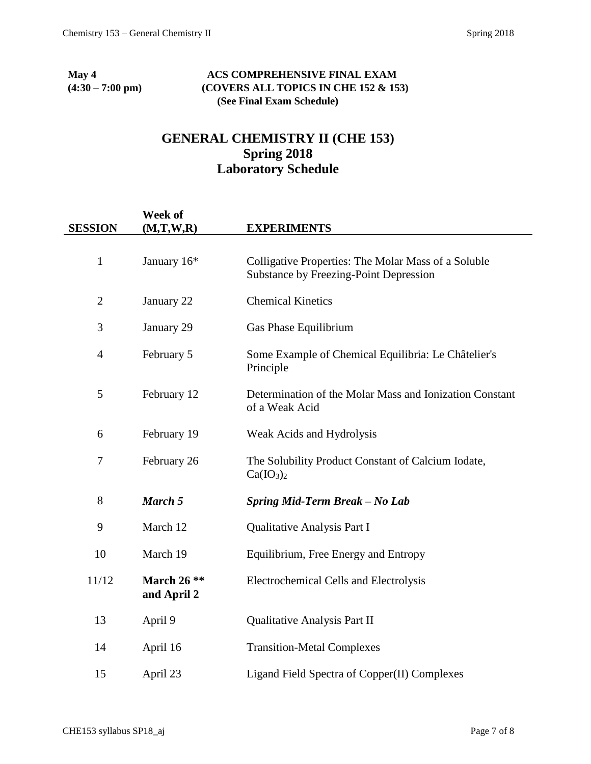#### **May 4 ACS COMPREHENSIVE FINAL EXAM (4:30 – 7:00 pm) (COVERS ALL TOPICS IN CHE 152 & 153) (See Final Exam Schedule)**

## **GENERAL CHEMISTRY II (CHE 153) Spring 2018 Laboratory Schedule**

| <b>SESSION</b> | Week of<br>(M,T,W,R)         | <b>EXPERIMENTS</b>                                                                                   |
|----------------|------------------------------|------------------------------------------------------------------------------------------------------|
| $\mathbf{1}$   | January 16*                  | Colligative Properties: The Molar Mass of a Soluble<br><b>Substance by Freezing-Point Depression</b> |
| $\overline{2}$ | January 22                   | <b>Chemical Kinetics</b>                                                                             |
| 3              | January 29                   | Gas Phase Equilibrium                                                                                |
| $\overline{4}$ | February 5                   | Some Example of Chemical Equilibria: Le Châtelier's<br>Principle                                     |
| 5              | February 12                  | Determination of the Molar Mass and Ionization Constant<br>of a Weak Acid                            |
| 6              | February 19                  | Weak Acids and Hydrolysis                                                                            |
| $\tau$         | February 26                  | The Solubility Product Constant of Calcium Iodate,<br>Ca(IO <sub>3</sub> ) <sub>2</sub>              |
| 8              | March 5                      | Spring Mid-Term Break - No Lab                                                                       |
| 9              | March 12                     | Qualitative Analysis Part I                                                                          |
| 10             | March 19                     | Equilibrium, Free Energy and Entropy                                                                 |
| 11/12          | March $26$ **<br>and April 2 | <b>Electrochemical Cells and Electrolysis</b>                                                        |
| 13             | April 9                      | <b>Qualitative Analysis Part II</b>                                                                  |
| 14             | April 16                     | <b>Transition-Metal Complexes</b>                                                                    |
| 15             | April 23                     | Ligand Field Spectra of Copper(II) Complexes                                                         |